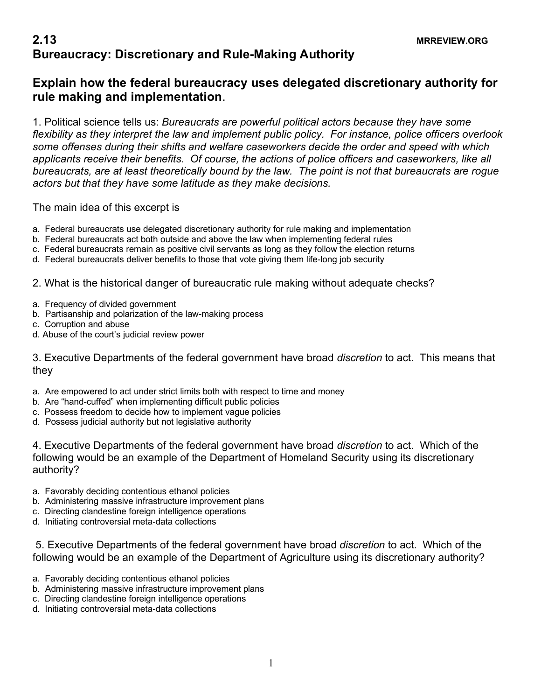## **2.13 MRREVIEW.ORG Bureaucracy: Discretionary and Rule-Making Authority**

## **Explain how the federal bureaucracy uses delegated discretionary authority for rule making and implementation**.

1. Political science tells us: *Bureaucrats are powerful political actors because they have some flexibility as they interpret the law and implement public policy. For instance, police officers overlook some offenses during their shifts and welfare caseworkers decide the order and speed with which applicants receive their benefits. Of course, the actions of police officers and caseworkers, like all bureaucrats, are at least theoretically bound by the law. The point is not that bureaucrats are rogue actors but that they have some latitude as they make decisions.*

The main idea of this excerpt is

- a. Federal bureaucrats use delegated discretionary authority for rule making and implementation
- b. Federal bureaucrats act both outside and above the law when implementing federal rules
- c. Federal bureaucrats remain as positive civil servants as long as they follow the election returns
- d. Federal bureaucrats deliver benefits to those that vote giving them life-long job security

2. What is the historical danger of bureaucratic rule making without adequate checks?

- a. Frequency of divided government
- b. Partisanship and polarization of the law-making process
- c. Corruption and abuse
- d. Abuse of the court's judicial review power

3. Executive Departments of the federal government have broad *discretion* to act. This means that they

- a. Are empowered to act under strict limits both with respect to time and money
- b. Are "hand-cuffed" when implementing difficult public policies
- c. Possess freedom to decide how to implement vague policies
- d. Possess judicial authority but not legislative authority

4. Executive Departments of the federal government have broad *discretion* to act. Which of the following would be an example of the Department of Homeland Security using its discretionary authority?

- a. Favorably deciding contentious ethanol policies
- b. Administering massive infrastructure improvement plans
- c. Directing clandestine foreign intelligence operations
- d. Initiating controversial meta-data collections

5. Executive Departments of the federal government have broad *discretion* to act. Which of the following would be an example of the Department of Agriculture using its discretionary authority?

- a. Favorably deciding contentious ethanol policies
- b. Administering massive infrastructure improvement plans
- c. Directing clandestine foreign intelligence operations
- d. Initiating controversial meta-data collections